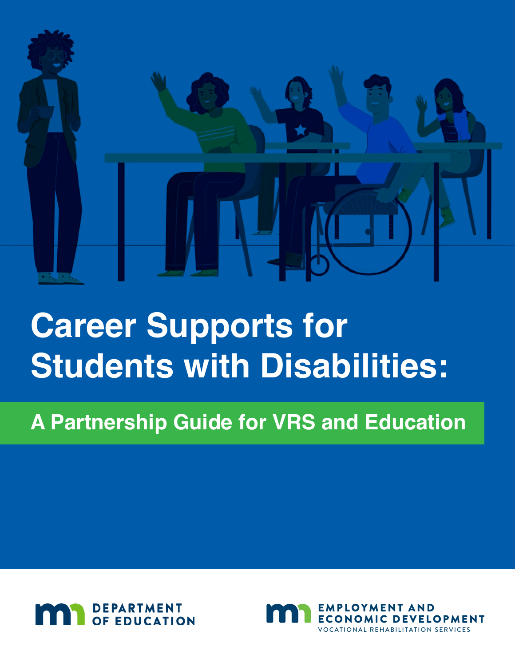

# **Career Supports for Students with Disabilities:**

# **A Partnership Guide for VRS and Education**



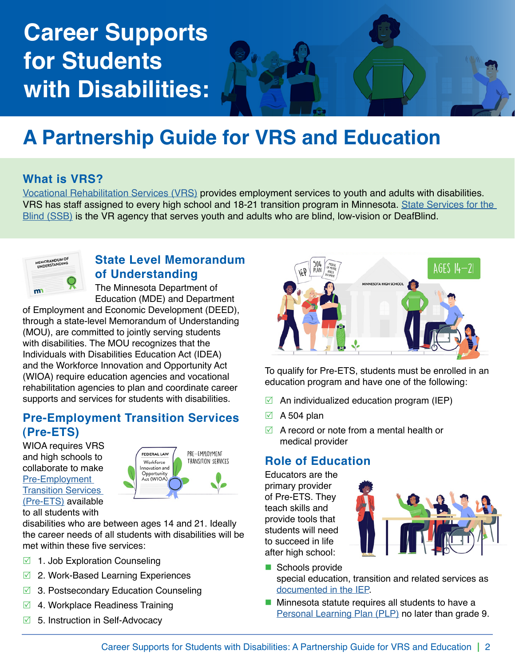# **Career Supports for Students with Disabilities:**

# **A Partnership Guide for VRS and Education**

#### **What is VRS?**

[Vocational Rehabilitation Services \(VRS\)](https://mn.gov/deed/vrs-student) provides employment services to youth and adults with disabilities. VRS has staff assigned to every high school and 18-21 transition program in Minnesota. [State Services for the](https://mn.gov/deed/ssb/teens/bts-students.jsp)  [Blind \(SSB\)](https://mn.gov/deed/ssb/teens/bts-students.jsp) is the VR agency that serves youth and adults who are blind, low-vision or DeafBlind.



#### **State Level Memorandum of Understanding**

The Minnesota Department of Education (MDE) and Department

of Employment and Economic Development (DEED), through a state-level Memorandum of Understanding (MOU), are committed to jointly serving students with disabilities. The MOU recognizes that the Individuals with Disabilities Education Act (IDEA) and the Workforce Innovation and Opportunity Act (WIOA) require education agencies and vocational rehabilitation agencies to plan and coordinate career supports and services for students with disabilities.

#### **Pre-Employment Transition Services (Pre-ETS)**

WIOA requires VRS and high schools to collaborate to make [Pre-Employment](https://mn.gov/deed/job-seekers/disabilities/youth/pre-ets/)  **Transition Services** [\(Pre-ETS\)](https://mn.gov/deed/job-seekers/disabilities/youth/pre-ets/) available to all students with



disabilities who are between ages 14 and 21. Ideally the career needs of all students with disabilities will be met within these five services:

- $\boxdot$  1. Job Exploration Counseling
- $\boxtimes$  2. Work-Based Learning Experiences
- $\boxtimes$  3. Postsecondary Education Counseling
- $\boxdot$  4. Workplace Readiness Training
- $\boxdot$  5. Instruction in Self-Advocacy



To qualify for Pre-ETS, students must be enrolled in an education program and have one of the following:

- $\triangledown$  An individualized education program (IEP)
- $\boxtimes$  A 504 plan
- $\boxtimes$  A record or note from a mental health or medical provider

#### **Role of Education**

Educators are the primary provider of Pre-ETS. They teach skills and provide tools that students will need to succeed in life after high school:



- Schools provide special education, transition and related services as [documented in the IEP.](https://education.mn.gov/MDE/dse/sped/sec/)
- **Minnesota statute requires all students to have a** [Personal Learning Plan \(PLP\)](https://education.mn.gov/MDE/dse/ccs/plp/) no later than grade 9.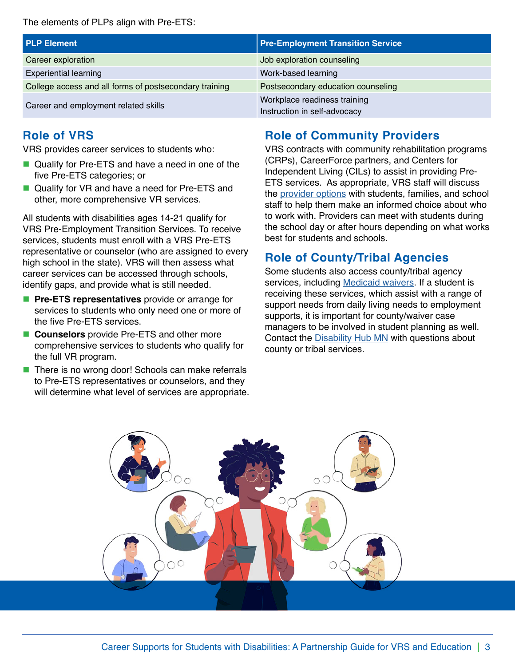The elements of PLPs align with Pre-ETS:

| <b>PLP Element</b>                                     | <b>Pre-Employment Transition Service</b> |  |
|--------------------------------------------------------|------------------------------------------|--|
| Career exploration                                     | Job exploration counseling               |  |
| <b>Experiential learning</b>                           | Work-based learning                      |  |
| College access and all forms of postsecondary training | Postsecondary education counseling       |  |
| Career and employment related skills                   | Workplace readiness training             |  |
|                                                        | Instruction in self-advocacy             |  |

#### **Role of VRS**

VRS provides career services to students who:

- Qualify for Pre-ETS and have a need in one of the five Pre-ETS categories; or
- Qualify for VR and have a need for Pre-ETS and other, more comprehensive VR services.

All students with disabilities ages 14-21 qualify for VRS Pre-Employment Transition Services. To receive services, students must enroll with a VRS Pre-ETS representative or counselor (who are assigned to every high school in the state). VRS will then assess what career services can be accessed through schools, identify gaps, and provide what is still needed.

- **Pre-ETS representatives** provide or arrange for services to students who only need one or more of the five Pre-ETS services.
- **Counselors** provide Pre-ETS and other more comprehensive services to students who qualify for the full VR program.
- There is no wrong door! Schools can make referrals to Pre-ETS representatives or counselors, and they will determine what level of services are appropriate.

#### **Role of Community Providers**

VRS contracts with community rehabilitation programs (CRPs), CareerForce partners, and Centers for Independent Living (CILs) to assist in providing Pre-ETS services. As appropriate, VRS staff will discuss the [provider options](https://mn.gov/deed/job-seekers/disabilities/partners/listing/) with students, families, and school staff to help them make an informed choice about who to work with. Providers can meet with students during the school day or after hours depending on what works best for students and schools.

#### **Role of County/Tribal Agencies**

Some students also access county/tribal agency services, including [Medicaid waivers](https://mn.gov/dhs/people-we-serve/people-with-disabilities/services/home-community/programs-and-services/hcbs-waivers.jsp). If a student is receiving these services, which assist with a range of support needs from daily living needs to employment supports, it is important for county/waiver case managers to be involved in student planning as well. Contact the [Disability Hub MN](https://disabilityhubmn.org/contact-us) with questions about county or tribal services.

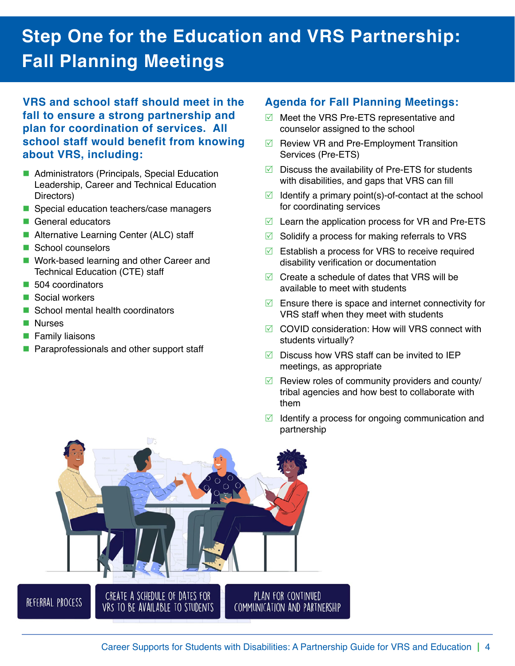## **Step One for the Education and VRS Partnership: Fall Planning Meetings**

**VRS and school staff should meet in the fall to ensure a strong partnership and plan for coordination of services. All school staff would benefit from knowing about VRS, including:**

- Administrators (Principals, Special Education Leadership, Career and Technical Education Directors)
- Special education teachers/case managers
- General educators
- Alternative Learning Center (ALC) staff
- School counselors
- **Work-based learning and other Career and** Technical Education (CTE) staff
- **504** coordinators
- Social workers
- School mental health coordinators
- **Nurses**
- **Family liaisons**
- **Paraprofessionals and other support staff**

#### **Agenda for Fall Planning Meetings:**

- $\boxtimes$  Meet the VRS Pre-ETS representative and counselor assigned to the school
- $\triangledown$  Review VR and Pre-Employment Transition Services (Pre-ETS)
- $\triangledown$  Discuss the availability of Pre-ETS for students with disabilities, and gaps that VRS can fill
- $\boxtimes$  Identify a primary point(s)-of-contact at the school for coordinating services
- $\boxtimes$  Learn the application process for VR and Pre-ETS
- $\boxtimes$  Solidify a process for making referrals to VRS
- $\boxtimes$  Establish a process for VRS to receive required disability verification or documentation
- $\boxtimes$  Create a schedule of dates that VRS will be available to meet with students
- $\triangledown$  Ensure there is space and internet connectivity for VRS staff when they meet with students
- $\boxtimes$  COVID consideration: How will VRS connect with students virtually?
- $\triangledown$  Discuss how VRS staff can be invited to IEP meetings, as appropriate
- $\blacksquare$  Review roles of community providers and county/ tribal agencies and how best to collaborate with them
- $\boxdot$  Identify a process for ongoing communication and partnership

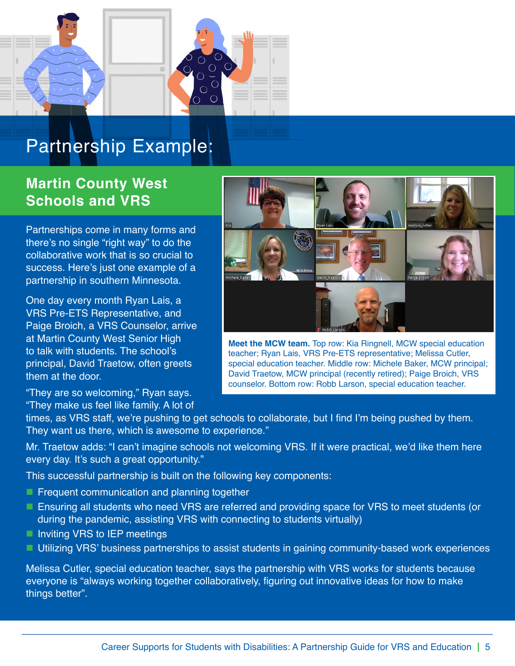

### **Partnership Example:**

#### **Martin County West Schools and VRS**

Partnerships come in many forms and there's no single "right way" to do the collaborative work that is so crucial to success. Here's just one example of a partnership in southern Minnesota.

One day every month Ryan Lais, a VRS Pre-ETS Representative, and Paige Broich, a VRS Counselor, arrive at Martin County West Senior High to talk with students. The school's principal, David Traetow, often greets them at the door.

"They are so welcoming," Ryan says. "They make us feel like family. A lot of



**Meet the MCW team.** Top row: Kia Ringnell, MCW special education teacher; Ryan Lais, VRS Pre-ETS representative; Melissa Cutler, special education teacher. Middle row: Michele Baker, MCW principal; David Traetow, MCW principal (recently retired); Paige Broich, VRS counselor. Bottom row: Robb Larson, special education teacher.

times, as VRS staff, we're pushing to get schools to collaborate, but I find I'm being pushed by them. They want us there, which is awesome to experience."

Mr. Traetow adds: "I can't imagine schools not welcoming VRS. If it were practical, we'd like them here every day. It's such a great opportunity."

This successful partnership is built on the following key components:

- **Figure Frequent communication and planning together**
- **E** Ensuring all students who need VRS are referred and providing space for VRS to meet students (or during the pandemic, assisting VRS with connecting to students virtually)
- Inviting VRS to IEP meetings
- Utilizing VRS' business partnerships to assist students in gaining community-based work experiences

Melissa Cutler, special education teacher, says the partnership with VRS works for students because everyone is "always working together collaboratively, figuring out innovative ideas for how to make things better".